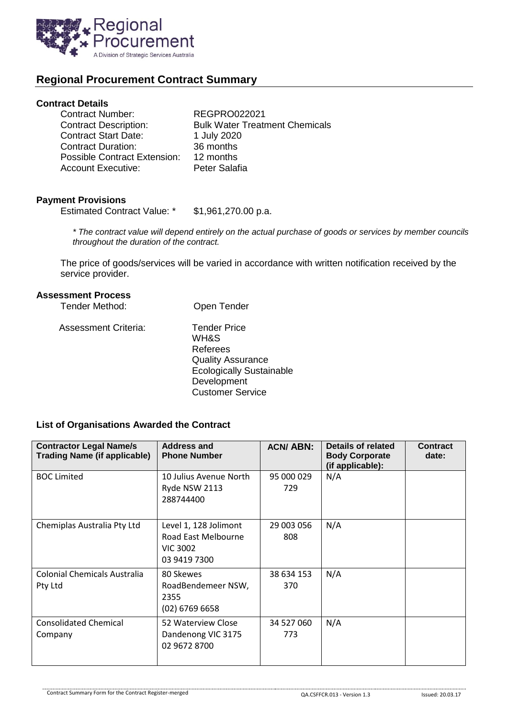

# **Regional Procurement Contract Summary**

#### **Contract Details**

| <b>Contract Number:</b>             | <b>REGPRO022021</b>                   |
|-------------------------------------|---------------------------------------|
| <b>Contract Description:</b>        | <b>Bulk Water Treatment Chemicals</b> |
| <b>Contract Start Date:</b>         | 1 July 2020                           |
| Contract Duration:                  | 36 months                             |
| <b>Possible Contract Extension:</b> | 12 months                             |
| Account Executive:                  | Peter Salafia                         |
|                                     |                                       |

### **Payment Provisions**

Estimated Contract Value: \* \$1,961,270.00 p.a.

*\* The contract value will depend entirely on the actual purchase of goods or services by member councils throughout the duration of the contract.*

The price of goods/services will be varied in accordance with written notification received by the service provider.

### **Assessment Process**

| Tender Method:       | Open Tender                                                                                                                                      |
|----------------------|--------------------------------------------------------------------------------------------------------------------------------------------------|
| Assessment Criteria: | <b>Tender Price</b><br>WH&S<br>Referees<br><b>Quality Assurance</b><br><b>Ecologically Sustainable</b><br>Development<br><b>Customer Service</b> |

## **List of Organisations Awarded the Contract**

| <b>Contractor Legal Name/s</b><br><b>Trading Name (if applicable)</b> | <b>Address and</b><br><b>Phone Number</b>                                       | <b>ACN/ABN:</b>   | Details of related<br><b>Body Corporate</b><br>(if applicable): | <b>Contract</b><br>date: |
|-----------------------------------------------------------------------|---------------------------------------------------------------------------------|-------------------|-----------------------------------------------------------------|--------------------------|
| <b>BOC Limited</b>                                                    | 10 Julius Avenue North<br>Ryde NSW 2113<br>288744400                            | 95 000 029<br>729 | N/A                                                             |                          |
| Chemiplas Australia Pty Ltd                                           | Level 1, 128 Jolimont<br>Road East Melbourne<br><b>VIC 3002</b><br>03 9419 7300 | 29 003 056<br>808 | N/A                                                             |                          |
| Colonial Chemicals Australia<br>Pty Ltd                               | 80 Skewes<br>RoadBendemeer NSW,<br>2355<br>$(02)$ 6769 6658                     | 38 634 153<br>370 | N/A                                                             |                          |
| <b>Consolidated Chemical</b><br>Company                               | 52 Waterview Close<br>Dandenong VIC 3175<br>02 9672 8700                        | 34 527 060<br>773 | N/A                                                             |                          |